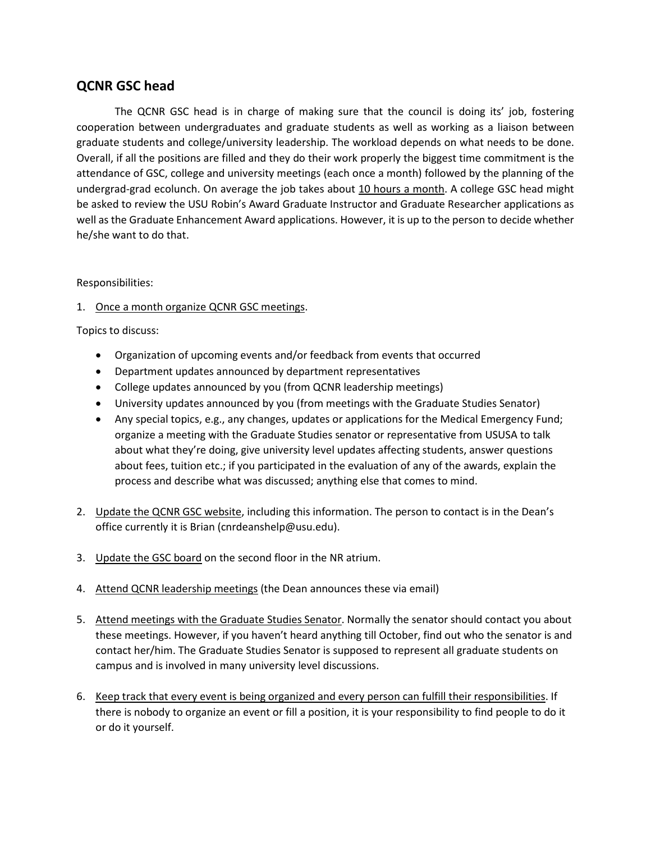## **QCNR GSC head**

The QCNR GSC head is in charge of making sure that the council is doing its' job, fostering cooperation between undergraduates and graduate students as well as working as a liaison between graduate students and college/university leadership. The workload depends on what needs to be done. Overall, if all the positions are filled and they do their work properly the biggest time commitment is the attendance of GSC, college and university meetings (each once a month) followed by the planning of the undergrad-grad ecolunch. On average the job takes about 10 hours a month. A college GSC head might be asked to review the USU Robin's Award Graduate Instructor and Graduate Researcher applications as well as the Graduate Enhancement Award applications. However, it is up to the person to decide whether he/she want to do that.

## Responsibilities:

1. Once a month organize QCNR GSC meetings.

Topics to discuss:

- Organization of upcoming events and/or feedback from events that occurred
- Department updates announced by department representatives
- College updates announced by you (from QCNR leadership meetings)
- University updates announced by you (from meetings with the Graduate Studies Senator)
- Any special topics, e.g., any changes, updates or applications for the Medical Emergency Fund; organize a meeting with the Graduate Studies senator or representative from USUSA to talk about what they're doing, give university level updates affecting students, answer questions about fees, tuition etc.; if you participated in the evaluation of any of the awards, explain the process and describe what was discussed; anything else that comes to mind.
- 2. Update the QCNR GSC website, including this information. The person to contact is in the Dean's office currently it is Brian (cnrdeanshelp@usu.edu).
- 3. Update the GSC board on the second floor in the NR atrium.
- 4. Attend QCNR leadership meetings (the Dean announces these via email)
- 5. Attend meetings with the Graduate Studies Senator. Normally the senator should contact you about these meetings. However, if you haven't heard anything till October, find out who the senator is and contact her/him. The Graduate Studies Senator is supposed to represent all graduate students on campus and is involved in many university level discussions.
- 6. Keep track that every event is being organized and every person can fulfill their responsibilities. If there is nobody to organize an event or fill a position, it is your responsibility to find people to do it or do it yourself.